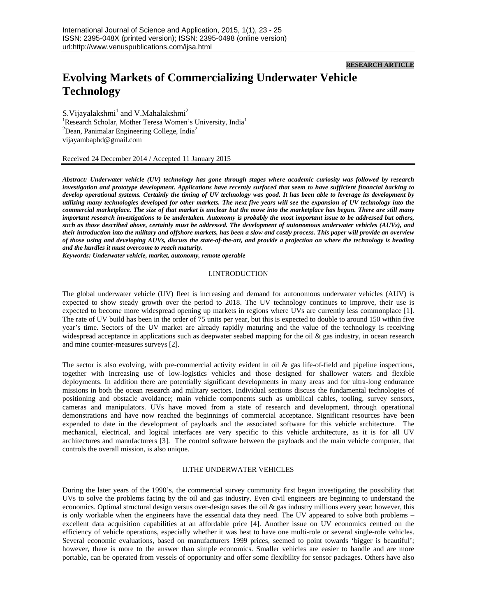## **RESEARCH ARTICLE**

# **Evolving Markets of Commercializing Underwater Vehicle Technology**

S. Vijayalakshmi<sup>1</sup> and V. Mahalakshmi<sup>2</sup> <sup>1</sup>Research Scholar, Mother Teresa Women's University, India<sup>1</sup>  ${}^{2}$ Dean, Panimalar Engineering College, India ${}^{2}$ vijayambaphd@gmail.com

Received 24 December 2014 / Accepted 11 January 2015

*Abstract: Underwater vehicle (UV) technology has gone through stages where academic curiosity was followed by research investigation and prototype development. Applications have recently surfaced that seem to have sufficient financial backing to develop operational systems. Certainly the timing of UV technology was good. It has been able to leverage its development by utilizing many technologies developed for other markets. The next five years will see the expansion of UV technology into the commercial marketplace. The size of that market is unclear but the move into the marketplace has begun. There are still many important research investigations to be undertaken. Autonomy is probably the most important issue to be addressed but others, such as those described above, certainly must be addressed. The development of autonomous underwater vehicles (AUVs), and their introduction into the military and offshore markets, has been a slow and costly process. This paper will provide an overview of those using and developing AUVs, discuss the state-of-the-art, and provide a projection on where the technology is heading and the hurdles it must overcome to reach maturity.* 

*Keywords: Underwater vehicle, market, autonomy, remote operable* 

#### I.INTRODUCTION

The global underwater vehicle (UV) fleet is increasing and demand for autonomous underwater vehicles (AUV) is expected to show steady growth over the period to 2018. The UV technology continues to improve, their use is expected to become more widespread opening up markets in regions where UVs are currently less commonplace [1]. The rate of UV build has been in the order of 75 units per year, but this is expected to double to around 150 within five year's time. Sectors of the UV market are already rapidly maturing and the value of the technology is receiving widespread acceptance in applications such as deepwater seabed mapping for the oil & gas industry, in ocean research and mine counter-measures surveys [2].

The sector is also evolving, with pre-commercial activity evident in oil  $\&$  gas life-of-field and pipeline inspections, together with increasing use of low-logistics vehicles and those designed for shallower waters and flexible deployments. In addition there are potentially significant developments in many areas and for ultra-long endurance missions in both the ocean research and military sectors. Individual sections discuss the fundamental technologies of positioning and obstacle avoidance; main vehicle components such as umbilical cables, tooling, survey sensors, cameras and manipulators. UVs have moved from a state of research and development, through operational demonstrations and have now reached the beginnings of commercial acceptance. Significant resources have been expended to date in the development of payloads and the associated software for this vehicle architecture. The mechanical, electrical, and logical interfaces are very specific to this vehicle architecture, as it is for all UV architectures and manufacturers [3]. The control software between the payloads and the main vehicle computer, that controls the overall mission, is also unique.

#### II.THE UNDERWATER VEHICLES

During the later years of the 1990's, the commercial survey community first began investigating the possibility that UVs to solve the problems facing by the oil and gas industry. Even civil engineers are beginning to understand the economics. Optimal structural design versus over-design saves the oil  $\&$  gas industry millions every year; however, this is only workable when the engineers have the essential data they need. The UV appeared to solve both problems – excellent data acquisition capabilities at an affordable price [4]. Another issue on UV economics centred on the efficiency of vehicle operations, especially whether it was best to have one multi-role or several single-role vehicles. Several economic evaluations, based on manufacturers 1999 prices, seemed to point towards 'bigger is beautiful'; however, there is more to the answer than simple economics. Smaller vehicles are easier to handle and are more portable, can be operated from vessels of opportunity and offer some flexibility for sensor packages. Others have also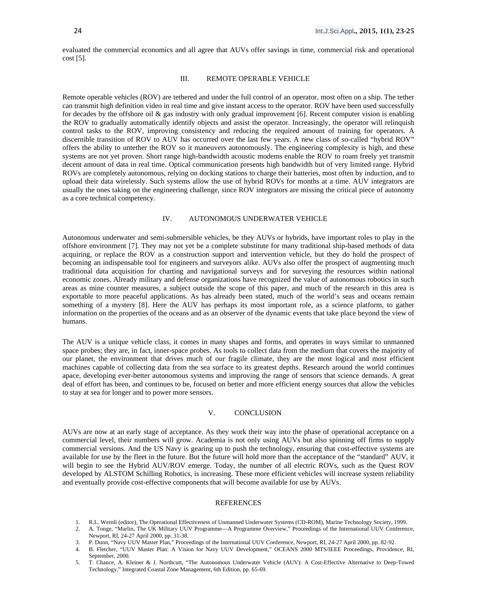evaluated the commercial economics and all agree that AUVs offer savings in time, commercial risk and operational  $cost$  [5].

#### III. REMOTE OPERABLE VEHICLE

Remote operable vehicles (ROV) are tethered and under the full control of an operator, most often on a ship. The tether can transmit high definition video in real time and give instant access to the operator. ROV have been used successfully for decades by the offshore oil  $\&$  gas industry with only gradual improvement [6]. Recent computer vision is enabling the ROV to gradually automatically identify objects and assist the operator. Increasingly, the operator will relinquish control tasks to the ROV, improving consistency and reducing the required amount of training for operators. A discernible transition of ROV to AUV has occurred over the last few years. A new class of so-called "hybrid ROV" offers the ability to untether the ROV so it maneuvers autonomously. The engineering complexity is high, and these systems are not yet proven. Short range high-bandwidth acoustic modems enable the ROV to roam freely yet transmit decent amount of data in real time. Optical communication presents high bandwidth but of very limited range. Hybrid ROVs are completely autonomous, relying on docking stations to charge their batteries, most often by induction, and to upload their data wirelessly. Such systems allow the use of hybrid ROVs for months at a time. AUV integrators are usually the ones taking on the engineering challenge, since ROV integrators are missing the critical piece of autonomy as a core technical competency.

## IV. AUTONOMOUS UNDERWATER VEHICLE

Autonomous underwater and semi-submersible vehicles, be they AUVs or hybrids, have important roles to play in the offshore environment [7]. They may not yet be a complete substitute for many traditional ship-based methods of data acquiring, or replace the ROV as a construction support and intervention vehicle, but they do hold the prospect of becoming an indispensable tool for engineers and surveyors alike. AUVs also offer the prospect of augmenting much traditional data acquisition for charting and navigational surveys and for surveying the resources within national economic zones. Already military and defense organizations have recognized the value of autonomous robotics in such areas as mine counter measures, a subject outside the scope of this paper, and much of the research in this area is exportable to more peaceful applications. As has already been stated, much of the world's seas and oceans remain something of a mystery [8]. Here the AUV has perhaps its most important role, as a science platform, to gather information on the properties of the oceans and as an observer of the dynamic events that take place beyond the view of humans.

The AUV is a unique vehicle class, it comes in many shapes and forms, and operates in ways similar to unmanned space probes; they are, in fact, inner-space probes. As tools to collect data from the medium that covers the majority of our planet, the environment that drives much of our fragile climate, they are the most logical and most efficient machines capable of collecting data from the sea surface to its greatest depths. Research around the world continues apace, developing ever-better autonomous systems and improving the range of sensors that science demands. A great deal of effort has been, and continues to be, focused on better and more efficient energy sources that allow the vehicles to stay at sea for longer and to power more sensors.

### V. CONCLUSION

AUVs are now at an early stage of acceptance. As they work their way into the phase of operational acceptance on a commercial level, their numbers will grow. Academia is not only using AUVs but also spinning off firms to supply commercial versions. And the US Navy is gearing up to push the technology, ensuring that cost-effective systems are available for use by the fleet in the future. But the future will hold more than the acceptance of the "standard" AUV, it will begin to see the Hybrid AUV/ROV emerge. Today, the number of all electric ROVs, such as the Quest ROV developed by ALSTOM Schilling Robotics, is increasing. These more efficient vehicles will increase system reliability and eventually provide cost-effective components that will become available for use by AUVs.

#### REFERENCES

- 1. R.L. Wernli (editor), The Operational Effectiveness of Unmanned Underwater Systems (CD-ROM), Marine Technology Society, 1999.
- 2. A. Tonge, "Marlin, The UK Military UUV Programme—A Programme Overview," Proceedings of the International UUV Conference, Newport, RI, 24-27 April 2000, pp. 31-38.
- 3. P. Dunn, "Navy UUV Master Plan," Proceedings of the International UUV Conference, Newport, RI, 24-27 April 2000, pp. 82-92.
- 4. B. Fletcher, "UUV Master Plan: A Vision for Navy UUV Development," OCEANS 2000 MTS/IEEE Proceedings, Providence, RI, September, 2000.
- 5. T. Chance, A. Kleiner & J. Northcutt, "The Autonomous Underwater Vehicle (AUV): A Cost-Effective Alternative to Deep-Towed Technology," Integrated Coastal Zone Management, 6th Edition, pp. 65-69.